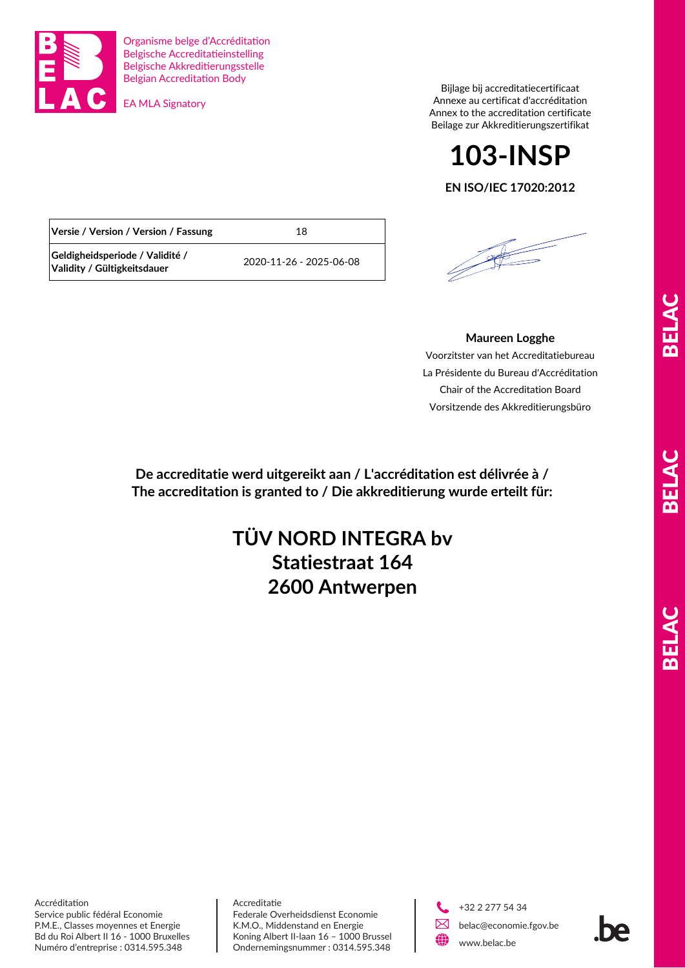

Organisme belge d'Accréditation Belgische Accreditatieinstelling Belgische Akkreditierungsstelle Belgian Accreditation Body

EA MLA Signatory

Bijlage bij accreditatiecertificaat Annexe au certificat d'accréditation Annex to the accreditation certificate Beilage zur Akkreditierungszertifikat

# **103-INSP**

### **EN ISO/IEC 17020:2012**

| Versie / Version / Version / Fassung                           | 18                      |
|----------------------------------------------------------------|-------------------------|
| Geldigheidsperiode / Validité /<br>Validity / Gültigkeitsdauer | 2020-11-26 - 2025-06-08 |

## **Maureen Logghe**

Voorzitster van het Accreditatiebureau La Présidente du Bureau d'Accréditation Chair of the Accreditation Board Vorsitzende des Akkreditierungsbüro

**De accreditatie werd uitgereikt aan / L'accréditation est délivrée à / The accreditation is granted to / Die akkreditierung wurde erteilt für:**

# **2600 Antwerpen TÜV NORD INTEGRA bv Statiestraat 164**

**ALBER** 

Accréditation Service public fédéral Economie P.M.E., Classes moyennes et Energie Bd du Roi Albert II 16 - 1000 Bruxelles Numéro d'entreprise : 0314.595.348

Accreditatie Federale Overheidsdienst Economie K.M.O., Middenstand en Energie Koning Albert II-laan 16 – 1000 Brussel Ondernemingsnummer : 0314.595.348



 +32 2 277 54 34 belac@economie.fgov.be www.belac.be